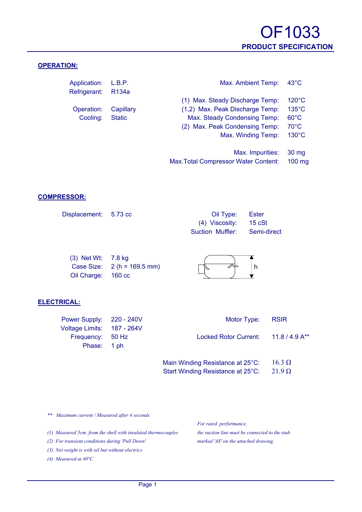

#### **OPERATION:**

| Application: L.B.P.<br>Refrigerant: | R <sub>134</sub> a | Max. Ambient Temp:              | $43^{\circ}$ C  |
|-------------------------------------|--------------------|---------------------------------|-----------------|
|                                     |                    | (1) Max. Steady Discharge Temp: | $120^{\circ}$ C |
| Operation:                          | Capillary          | (1,2) Max. Peak Discharge Temp: | $135^{\circ}$ C |
| Cooling:                            | <b>Static</b>      | Max. Steady Condensing Temp:    | $60^{\circ}$ C  |
|                                     |                    | (2) Max. Peak Condensing Temp:  | $70^{\circ}$ C  |
|                                     |                    | Max. Winding Temp:              | $130^{\circ}$ C |
|                                     |                    |                                 |                 |
|                                     |                    | Max. Impurities:                | 30 mg           |

#### **COMPRESSOR:**

| Displacement: 5.73 cc | Oil Type: Ester              |  |
|-----------------------|------------------------------|--|
|                       | $(4)$ Viscosity: 15 cSt      |  |
|                       | Suction Muffler: Semi-direct |  |

| $(3)$ Net Wt: 7.8 kg |                                      |  |
|----------------------|--------------------------------------|--|
|                      | Case Size: $2(h = 169.5 \text{ mm})$ |  |
| Oil Charge: 160 cc   |                                      |  |

#### **ELECTRICAL:**

| Power Supply: 220 - 240V   | Motor Type: RSIR                               |  |
|----------------------------|------------------------------------------------|--|
| Voltage Limits: 187 - 264V |                                                |  |
| Frequency: 50 Hz           | Locked Rotor Current: 11.8 / 4.9 A**           |  |
| Phase: 1 ph                |                                                |  |
|                            |                                                |  |
|                            | Main Winding Resistance at 25°C: 16.3 $\Omega$ |  |

| $m$ an $m$ n an $q$ , toolotanoo at $20$ O. | 10.J 99       |
|---------------------------------------------|---------------|
| Start Winding Resistance at 25°C:           | $21.9 \Omega$ |

Max.Total Compressor Water Content: 100 mg

*\*\* Maximum current / Measured after 4 seconds*

*(1) Measured 5cm. from the shell with insulated thermocouples the suction line must be connected to the stub*

*(2) For transient conditions during 'Pull Down' marked 'AS' on the attached drawing.*

*(3) Net weight is with oil but without electrics*

*(4) Measured at 40°C*

*For rated performance,*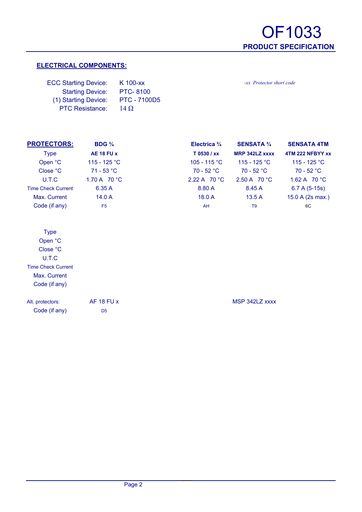-xx Protector short code

### **ELECTRICAL COMPONENTS:**

| <b>ECC Starting Device:</b> | K 100-xx            |
|-----------------------------|---------------------|
| <b>Starting Device:</b>     | <b>PTC-8100</b>     |
| (1) Starting Device:        | <b>PTC - 7100D5</b> |
| <b>PTC Resistance:</b>      | $14\Omega$          |

| <b>PROTECTORS:</b>        | BDG $\frac{3}{4}$ | Electrica $\frac{3}{4}$ | <b>SENSATA 3/4</b>    | <b>SENSATA 4TM</b> |
|---------------------------|-------------------|-------------------------|-----------------------|--------------------|
| <b>Type</b>               | AE 18 FU x        | T 0530 / xx             | <b>MRP 342LZ XXXX</b> | 4TM 222 NFBYY xx   |
| Open °C                   | 115 - 125 °C      | 105 - 115 °C            | 115 - 125 °C          | 115 - 125 °C       |
| Close °C                  | $71 - 53 °C$      | $70 - 52 °C$            | $70 - 52 °C$          | $70 - 52 °C$       |
| U.T.C                     | 1.70 A 70 °C      | 2.22 A $70 °C$          | 2.50 A $70 °C$        | 1.62 A $70 °C$     |
| <b>Time Check Current</b> | 6.35A             | 8.80 A                  | 8.45 A                | $6.7 A (5-15s)$    |
| Max. Current              | 14.0 A            | 18.0A                   | 13.5A                 | 15.0 A (2s max.)   |
| Code (if any)             | F <sub>5</sub>    | AH                      | T <sub>9</sub>        | 6C                 |

Code (if any) D5

Alt. protectors: AF 18 FU x MSP 342LZ xxxx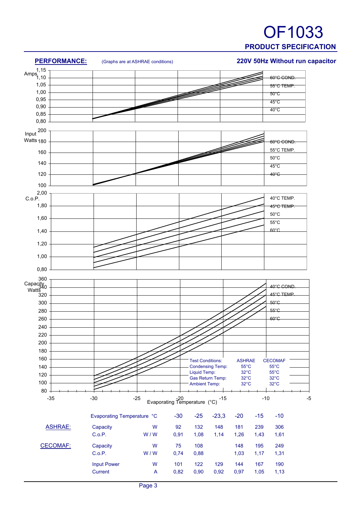## OF1033 **PRODUCT SPECIFICATION**